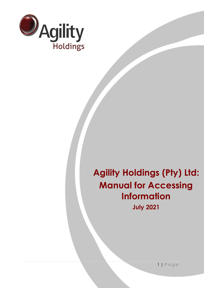

# **Agility Holdings (Pty) Ltd: Manual for Accessing Information**

**July 2021**

1 | P a g e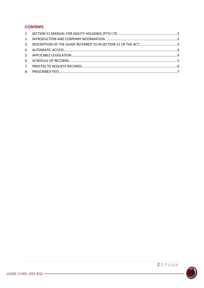## **CONTENTS**

| 3. DESCRIPTION OF THE GUIDE REFERRED TO IN SECTION 51 OF THE ACT: 3 |  |
|---------------------------------------------------------------------|--|
|                                                                     |  |
|                                                                     |  |
|                                                                     |  |
|                                                                     |  |
|                                                                     |  |

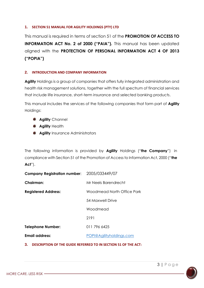#### <span id="page-2-0"></span>**1. SECTION 51 MANUAL FOR AGILITY HOLDINGS (PTY) LTD**

This manual is required in terms of section 51 of the **PROMOTION OF ACCESS TO INFORMATION ACT No. 2 of 2000 ("PAIA").** This manual has been updated aligned with the **PROTECTION OF PERSONAL INFORMATION ACT 4 OF 2013 ("POPIA")**

### <span id="page-2-1"></span>**2. INTRODUCTION AND COMPANY INFORMATION**

**Agility** Holdings is a group of companies that offers fully integrated administration and health risk management solutions, together with the full spectrum of financial services that include life insurance, short-term insurance and selected banking products.

This manual includes the services of the following companies that form part of **Agility** Holdings:

- **Agility** Channel
- **Agility Health**
- **Agility** Insurance Administrators

The following information is provided by **Agility** Holdings ("**the Company**") in compliance with Section 51 of the Promotion of Access to Information Act, 2000 ("**the Act**").

| Company Registration number: 2005/033449/07 |                            |
|---------------------------------------------|----------------------------|
| Chairman:                                   | Mr Neels Barendrecht       |
| <b>Registered Address:</b>                  | Woodmead North Office Park |
|                                             | 54 Maxwell Drive           |
|                                             | Woodmead                   |
|                                             | 2191                       |
| <b>Telephone Number:</b>                    | 011 796 6425               |
| <b>Email address:</b>                       | POPI@Agilityholdings.com   |

#### <span id="page-2-2"></span>**3. DESCRIPTION OF THE GUIDE REFERRED TO IN SECTION 51 OF THE ACT:**

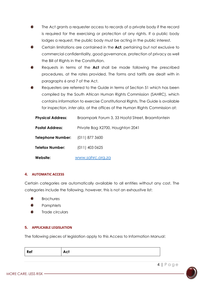- The Act grants a requester access to records of a private body if the record is required for the exercising or protection of any rights. If a public body lodges a request, the public body must be acting in the public interest.
- Certain limitations are contained in the **Act**, pertaining but not exclusive to commercial confidentiality, good governance, protection of privacy as well the Bill of Rights in the Constitution.
- Requests in terms of the **Act** shall be made following the prescribed procedures, at the rates provided. The forms and tariffs are dealt with in paragraphs 6 and 7 of the Act.
- Requesters are referred to the Guide in terms of Section 51 which has been compiled by the South African Human Rights Commission (SAHRC), which contains information to exercise Constitutional Rights. The Guide is available for inspection, *inter alia*, at the offices of the Human Rights Commission at:

| <b>Physical Address:</b> | Braampark Forum 3, 33 Hoofd Street, Braamfontein |
|--------------------------|--------------------------------------------------|
| <b>Postal Address:</b>   | Private Bag X2700, Houghton 2041                 |
| Telephone Number:        | $(011)$ 877 3600                                 |
| Telefax Number:          | $(011)$ 403 0625                                 |
| Website:                 | www.sahrc.org.za                                 |

#### <span id="page-3-0"></span>**4. AUTOMATIC ACCESS**

Certain categories are automatically available to all entities without any cost. The categories include the following, however, this is not an exhaustive list:

- Brochures
- **Pamphlets**
- Trade circulars

#### <span id="page-3-1"></span>**5. APPLICABLE LEGISLATION**

The following pieces of legislation apply to this Access to Information Manual:

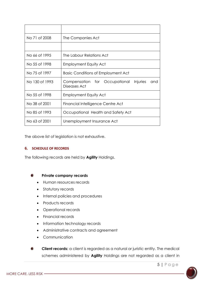| No 71 of 2008  | The Companies Act                                                |
|----------------|------------------------------------------------------------------|
|                |                                                                  |
| No 66 of 1995  | The Labour Relations Act                                         |
| No 55 of 1998  | <b>Employment Equity Act</b>                                     |
| No 75 of 1997  | <b>Basic Conditions of Employment Act</b>                        |
| No 130 of 1993 | Compensation for Occupational<br>Injuries<br>and<br>Diseases Act |
| No 55 of 1998  | <b>Employment Equity Act</b>                                     |
| No 38 of 2001  | Financial Intelligence Centre Act                                |
| No 85 of 1993  | Occupational Health and Safety Act                               |
| No 63 of 2001  | Unemployment Insurance Act                                       |

The above list of legislation is not exhaustive.

#### <span id="page-4-0"></span>**6. SCHEDULE OF RECORDS**

The following records are held by **Agility** Holdings.

#### **Private company records**  $\bigcap$

- Human resources records
- Statutory records
- Internal policies and procedures
- Products records
- Operational records
- Financial records
- Information technology records
- Administrative contracts and agreement
- Communication

**Client records:** a client is regarded as a natural or juristic entity. The medical  $\bigcirc$ schemes administered by **Agility** Holdings are not regarded as a client in

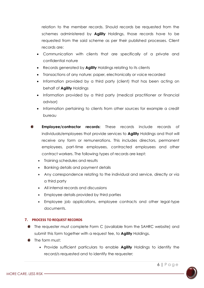relation to the member records. Should records be requested from the schemes administered by **Agility** Holdings, those records have to be requested from the said scheme as per their published processes. Client records are:

- Communication with clients that are specifically of a private and confidential nature
- Records generated by **Agility** Holdings relating to its clients
- Transactions of any nature: paper, electronically or voice recorded
- Information provided by a third party (client) that has been acting on behalf of **Agility** Holdings
- Information provided by a third party (medical practitioner or financial advisor)
- Information pertaining to clients from other sources for example a credit bureau
- **Employee/contractor records:** These records include records of individuals/employees that provide services to **Agility** Holdings and that will receive any form or remunerations. This includes directors, permanent employees, part-time employees, contracted employees and other contract workers. The following types of records are kept:
	- Training schedules and results
	- Banking details and payment details
	- Any correspondence relating to the individual and service, directly or via a third party
	- All internal records and discussions
	- Employee details provided by third parties
	- Employee job applications, employee contracts and other legal-type documents.

# <span id="page-5-0"></span>**7. PROCESS TO REQUEST RECORDS**

- The requester must complete Form C (available from the SAHRC website) and submit this form together with a request fee, to **Agility** Holdings.
- The form must:
	- Provide sufficient particulars to enable **Agility** Holdings to identify the record/s requested and to identify the requester;